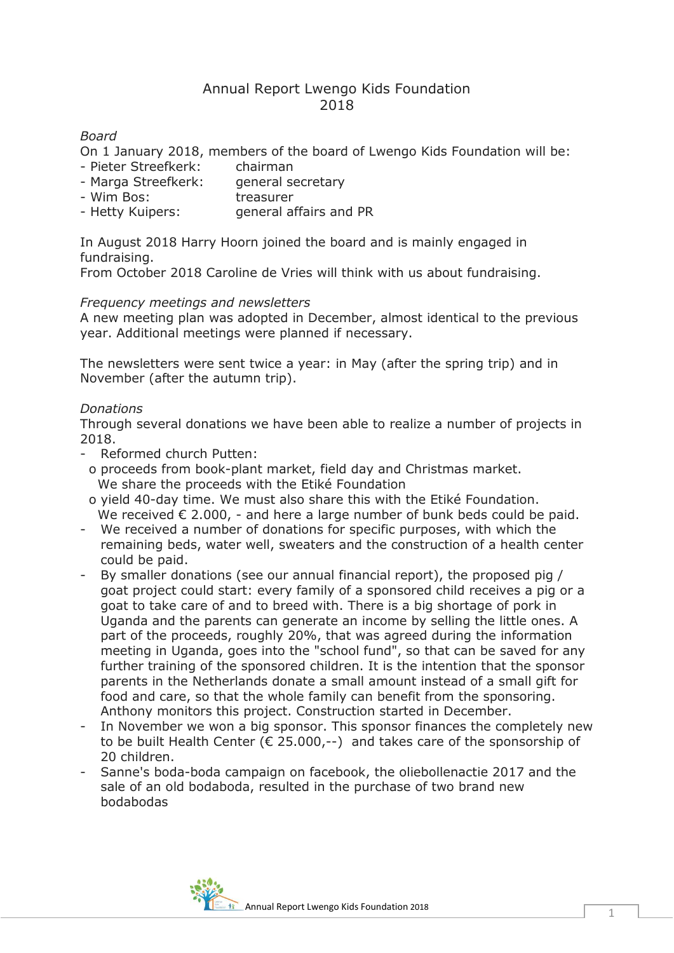# Annual Report Lwengo Kids Foundation 2018

# *Board*

On 1 January 2018, members of the board of Lwengo Kids Foundation will be:

- Pieter Streefkerk: chairman
- Marga Streefkerk: general secretary
- Wim Bos: treasurer
- Hetty Kuipers: general affairs and PR

In August 2018 Harry Hoorn joined the board and is mainly engaged in fundraising.

From October 2018 Caroline de Vries will think with us about fundraising.

# *Frequency meetings and newsletters*

A new meeting plan was adopted in December, almost identical to the previous year. Additional meetings were planned if necessary.

The newsletters were sent twice a year: in May (after the spring trip) and in November (after the autumn trip).

# *Donations*

Through several donations we have been able to realize a number of projects in 2018.

- Reformed church Putten:
- o proceeds from book-plant market, field day and Christmas market. We share the proceeds with the Etiké Foundation
- o yield 40-day time. We must also share this with the Etiké Foundation. We received  $\epsilon$  2.000, - and here a large number of bunk beds could be paid.
- We received a number of donations for specific purposes, with which the remaining beds, water well, sweaters and the construction of a health center could be paid.
- By smaller donations (see our annual financial report), the proposed pig / goat project could start: every family of a sponsored child receives a pig or a goat to take care of and to breed with. There is a big shortage of pork in Uganda and the parents can generate an income by selling the little ones. A part of the proceeds, roughly 20%, that was agreed during the information meeting in Uganda, goes into the "school fund", so that can be saved for any further training of the sponsored children. It is the intention that the sponsor parents in the Netherlands donate a small amount instead of a small gift for food and care, so that the whole family can benefit from the sponsoring. Anthony monitors this project. Construction started in December.
- In November we won a big sponsor. This sponsor finances the completely new to be built Health Center ( $\epsilon$  25.000,--) and takes care of the sponsorship of 20 children.
- Sanne's boda-boda campaign on facebook, the oliebollenactie 2017 and the sale of an old bodaboda, resulted in the purchase of two brand new bodabodas

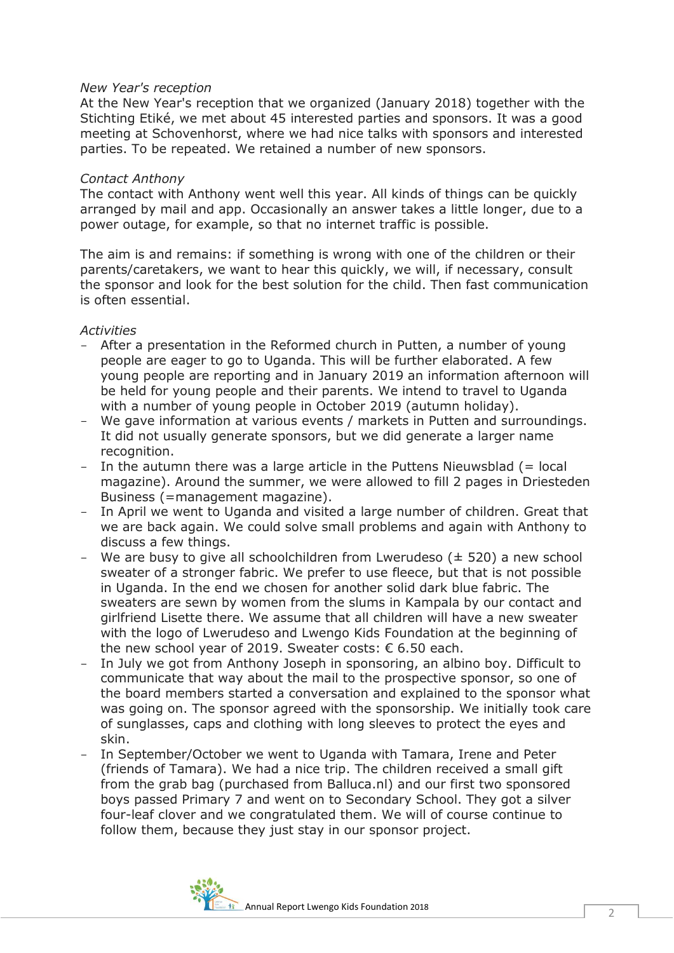# *New Year's reception*

At the New Year's reception that we organized (January 2018) together with the Stichting Etiké, we met about 45 interested parties and sponsors. It was a good meeting at Schovenhorst, where we had nice talks with sponsors and interested parties. To be repeated. We retained a number of new sponsors.

#### *Contact Anthony*

The contact with Anthony went well this year. All kinds of things can be quickly arranged by mail and app. Occasionally an answer takes a little longer, due to a power outage, for example, so that no internet traffic is possible.

The aim is and remains: if something is wrong with one of the children or their parents/caretakers, we want to hear this quickly, we will, if necessary, consult the sponsor and look for the best solution for the child. Then fast communication is often essential.

# *Activities*

- After a presentation in the Reformed church in Putten, a number of young people are eager to go to Uganda. This will be further elaborated. A few young people are reporting and in January 2019 an information afternoon will be held for young people and their parents. We intend to travel to Uganda with a number of young people in October 2019 (autumn holiday).
- We gave information at various events / markets in Putten and surroundings. It did not usually generate sponsors, but we did generate a larger name recognition.
- In the autumn there was a large article in the Puttens Nieuwsblad  $(=$  local magazine). Around the summer, we were allowed to fill 2 pages in Driesteden Business (=management magazine).
- In April we went to Uganda and visited a large number of children. Great that we are back again. We could solve small problems and again with Anthony to discuss a few things.
- We are busy to give all schoolchildren from Lwerudeso ( $\pm$  520) a new school sweater of a stronger fabric. We prefer to use fleece, but that is not possible in Uganda. In the end we chosen for another solid dark blue fabric. The sweaters are sewn by women from the slums in Kampala by our contact and girlfriend Lisette there. We assume that all children will have a new sweater with the logo of Lwerudeso and Lwengo Kids Foundation at the beginning of the new school year of 2019. Sweater costs: € 6.50 each.
- In July we got from Anthony Joseph in sponsoring, an albino boy. Difficult to communicate that way about the mail to the prospective sponsor, so one of the board members started a conversation and explained to the sponsor what was going on. The sponsor agreed with the sponsorship. We initially took care of sunglasses, caps and clothing with long sleeves to protect the eyes and skin.
- In September/October we went to Uganda with Tamara, Irene and Peter (friends of Tamara). We had a nice trip. The children received a small gift from the grab bag (purchased from Balluca.nl) and our first two sponsored boys passed Primary 7 and went on to Secondary School. They got a silver four-leaf clover and we congratulated them. We will of course continue to follow them, because they just stay in our sponsor project.